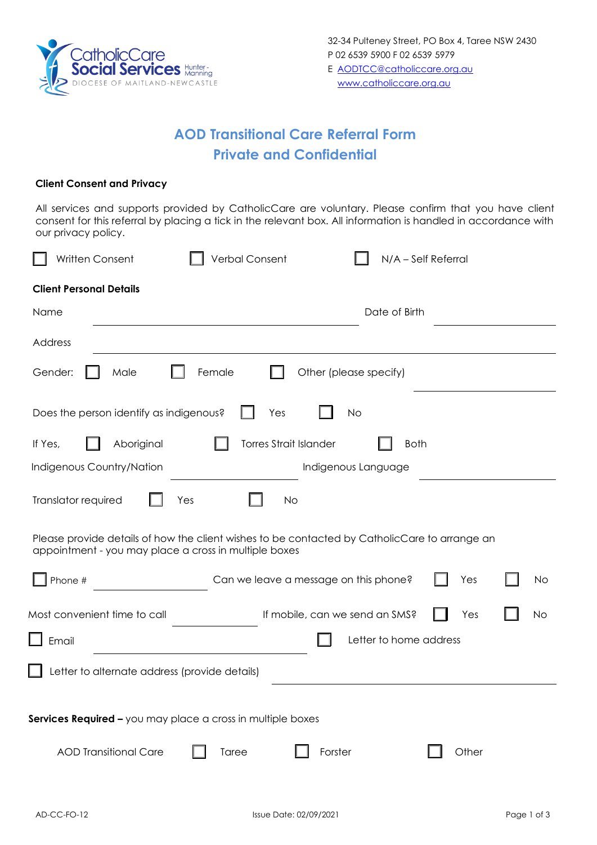

## **AOD Transitional Care Referral Form Private and Confidential**

## **Client Consent and Privacy**

All services and supports provided by CatholicCare are voluntary. Please confirm that you have client consent for this referral by placing a tick in the relevant box. All information is handled in accordance with our privacy policy.

| N/A - Self Referral<br>Written Consent<br>Verbal Consent                                                                                               |  |  |  |  |  |  |  |
|--------------------------------------------------------------------------------------------------------------------------------------------------------|--|--|--|--|--|--|--|
| <b>Client Personal Details</b>                                                                                                                         |  |  |  |  |  |  |  |
| Date of Birth<br>Name                                                                                                                                  |  |  |  |  |  |  |  |
| Address                                                                                                                                                |  |  |  |  |  |  |  |
| Female<br>Other (please specify)<br>Gender:<br>Male                                                                                                    |  |  |  |  |  |  |  |
| Does the person identify as indigenous?<br>Yes<br><b>No</b>                                                                                            |  |  |  |  |  |  |  |
| <b>Torres Strait Islander</b><br>Aboriginal<br>If Yes,<br><b>Both</b>                                                                                  |  |  |  |  |  |  |  |
| Indigenous Country/Nation<br>Indigenous Language                                                                                                       |  |  |  |  |  |  |  |
| Translator required<br>Yes<br><b>No</b>                                                                                                                |  |  |  |  |  |  |  |
| Please provide details of how the client wishes to be contacted by CatholicCare to arrange an<br>appointment - you may place a cross in multiple boxes |  |  |  |  |  |  |  |
| Can we leave a message on this phone?<br>Phone #<br>Yes<br>No                                                                                          |  |  |  |  |  |  |  |
| Most convenient time to call<br>If mobile, can we send an SMS?<br><b>No</b><br>Yes                                                                     |  |  |  |  |  |  |  |
| Letter to home address<br>Email                                                                                                                        |  |  |  |  |  |  |  |
| Letter to alternate address (provide details)                                                                                                          |  |  |  |  |  |  |  |
| Services Required - you may place a cross in multiple boxes                                                                                            |  |  |  |  |  |  |  |
| <b>AOD Transitional Care</b><br>Forster<br>Other<br>Taree                                                                                              |  |  |  |  |  |  |  |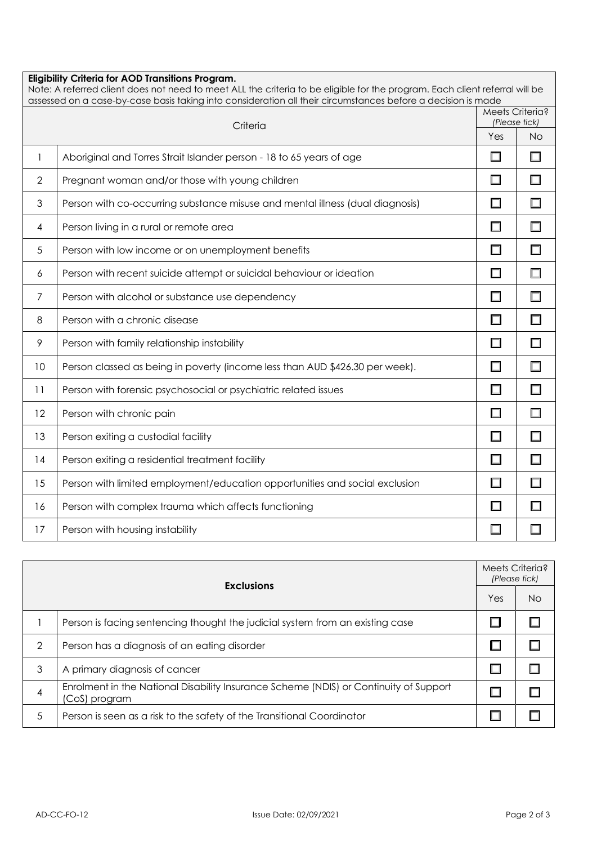| <b>Eligibility Criteria for AOD Transitions Program.</b><br>Note: A referred client does not need to meet ALL the criteria to be eligible for the program. Each client referral will be<br>assessed on a case-by-case basis taking into consideration all their circumstances before a decision is made |                                                                               |                   |                                  |  |  |  |
|---------------------------------------------------------------------------------------------------------------------------------------------------------------------------------------------------------------------------------------------------------------------------------------------------------|-------------------------------------------------------------------------------|-------------------|----------------------------------|--|--|--|
| Criteria                                                                                                                                                                                                                                                                                                |                                                                               |                   | Meets Criteria?<br>(Please tick) |  |  |  |
|                                                                                                                                                                                                                                                                                                         |                                                                               |                   |                                  |  |  |  |
| 1                                                                                                                                                                                                                                                                                                       | Aboriginal and Torres Strait Islander person - 18 to 65 years of age          | Ш                 |                                  |  |  |  |
| $\overline{2}$                                                                                                                                                                                                                                                                                          | Pregnant woman and/or those with young children                               |                   |                                  |  |  |  |
| 3                                                                                                                                                                                                                                                                                                       | Person with co-occurring substance misuse and mental illness (dual diagnosis) |                   |                                  |  |  |  |
| 4                                                                                                                                                                                                                                                                                                       | Person living in a rural or remote area                                       |                   |                                  |  |  |  |
| 5                                                                                                                                                                                                                                                                                                       | Person with low income or on unemployment benefits                            | $\Box$            |                                  |  |  |  |
| 6                                                                                                                                                                                                                                                                                                       | Person with recent suicide attempt or suicidal behaviour or ideation          | $\Box$            |                                  |  |  |  |
| 7                                                                                                                                                                                                                                                                                                       | Person with alcohol or substance use dependency                               | □                 |                                  |  |  |  |
| 8                                                                                                                                                                                                                                                                                                       | Person with a chronic disease                                                 | П                 |                                  |  |  |  |
| 9                                                                                                                                                                                                                                                                                                       | Person with family relationship instability                                   |                   |                                  |  |  |  |
| 10                                                                                                                                                                                                                                                                                                      | Person classed as being in poverty (income less than AUD \$426.30 per week).  | $\Box$            |                                  |  |  |  |
| 11                                                                                                                                                                                                                                                                                                      | Person with forensic psychosocial or psychiatric related issues               | $\Box$            |                                  |  |  |  |
| 12                                                                                                                                                                                                                                                                                                      | Person with chronic pain                                                      | □                 |                                  |  |  |  |
| 13                                                                                                                                                                                                                                                                                                      | Person exiting a custodial facility                                           | П                 |                                  |  |  |  |
| 14                                                                                                                                                                                                                                                                                                      | Person exiting a residential treatment facility                               | $\Box$            |                                  |  |  |  |
| 15                                                                                                                                                                                                                                                                                                      | Person with limited employment/education opportunities and social exclusion   | $\Box$            |                                  |  |  |  |
| 16                                                                                                                                                                                                                                                                                                      | Person with complex trauma which affects functioning                          | <b>The Street</b> |                                  |  |  |  |
| 17                                                                                                                                                                                                                                                                                                      | Person with housing instability                                               | H                 |                                  |  |  |  |

| <b>Exclusions</b> |                                                                                                        |     | Meets Criteria?<br>(Please tick) |  |
|-------------------|--------------------------------------------------------------------------------------------------------|-----|----------------------------------|--|
|                   | Yes                                                                                                    | No. |                                  |  |
|                   | Person is facing sentencing thought the judicial system from an existing case                          |     |                                  |  |
| 2                 | Person has a diagnosis of an eating disorder                                                           |     |                                  |  |
| 3                 | A primary diagnosis of cancer                                                                          |     |                                  |  |
| 4                 | Enrolment in the National Disability Insurance Scheme (NDIS) or Continuity of Support<br>(CoS) program |     |                                  |  |
| 5                 | Person is seen as a risk to the safety of the Transitional Coordinator                                 |     |                                  |  |